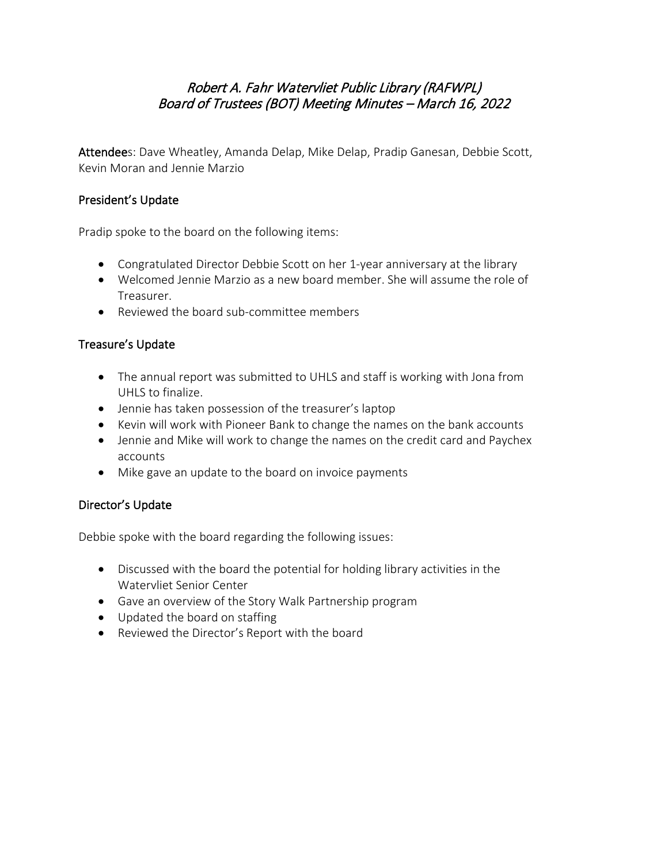# Robert A. Fahr Watervliet Public Library (RAFWPL) Board of Trustees (BOT) Meeting Minutes – March 16, 2022

Attendees: Dave Wheatley, Amanda Delap, Mike Delap, Pradip Ganesan, Debbie Scott, Kevin Moran and Jennie Marzio

## President's Update

Pradip spoke to the board on the following items:

- Congratulated Director Debbie Scott on her 1-year anniversary at the library
- Welcomed Jennie Marzio as a new board member. She will assume the role of Treasurer.
- Reviewed the board sub-committee members

## Treasure's Update

- The annual report was submitted to UHLS and staff is working with Jona from UHLS to finalize.
- Jennie has taken possession of the treasurer's laptop
- Kevin will work with Pioneer Bank to change the names on the bank accounts
- Jennie and Mike will work to change the names on the credit card and Paychex accounts
- Mike gave an update to the board on invoice payments

# Director's Update

Debbie spoke with the board regarding the following issues:

- Discussed with the board the potential for holding library activities in the Watervliet Senior Center
- Gave an overview of the Story Walk Partnership program
- Updated the board on staffing
- Reviewed the Director's Report with the board